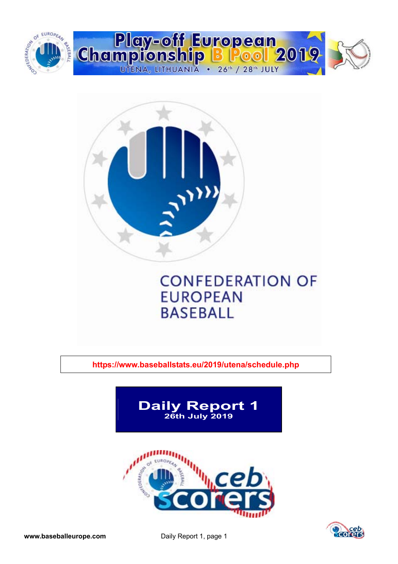



**https://www.baseballstats.eu/2019/utena/schedule.php** 



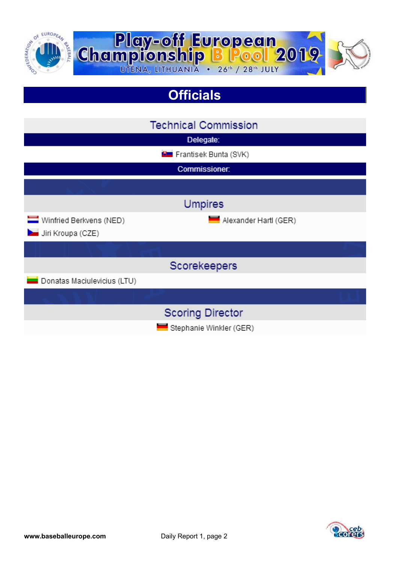

# **Officials**

|                                              | <b>Technical Commission</b>    |
|----------------------------------------------|--------------------------------|
|                                              | Delegate:                      |
|                                              | <b>B</b> Frantisek Bunta (SVK) |
|                                              | Commissioner.                  |
|                                              |                                |
|                                              | <b>Umpires</b>                 |
| Winfried Berkvens (NED)<br>Jiri Kroupa (CZE) | Alexander Hartl (GER)          |
|                                              |                                |
|                                              | Scorekeepers                   |
| Donatas Maciulevicius (LTU)                  |                                |
|                                              |                                |
|                                              | <b>Scoring Director</b>        |
|                                              | Stephanie Winkler (GER)        |

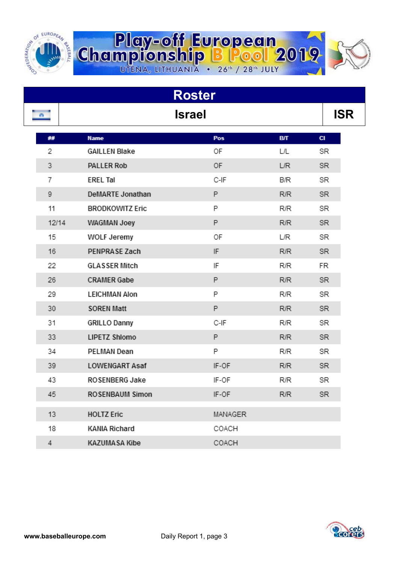

| <b>Roster</b> |                     |                        |         |            |           |  |  |  |  |  |  |
|---------------|---------------------|------------------------|---------|------------|-----------|--|--|--|--|--|--|
|               | <b>Israel</b><br>m. |                        |         |            |           |  |  |  |  |  |  |
|               | ##                  | <b>Name</b>            | Pos     | BЛ         | <b>CI</b> |  |  |  |  |  |  |
|               | 2                   | <b>GAILLEN Blake</b>   | ОF      | L/L        | SR        |  |  |  |  |  |  |
|               | 3                   | <b>PALLER Rob</b>      | 0F      | L/R        | SR.       |  |  |  |  |  |  |
|               | 7                   | <b>EREL Tal</b>        | C-IF    | B/R        | SR        |  |  |  |  |  |  |
|               | 9                   | DeMARTE Jonathan       | P       | <b>R/R</b> | SR.       |  |  |  |  |  |  |
|               | 11                  | <b>BRODKOWITZ Eric</b> | P       | <b>R/R</b> | SR        |  |  |  |  |  |  |
|               | 12/14               | WAGMAN Joey            | P       | <b>R/R</b> | SR.       |  |  |  |  |  |  |
|               | 15                  | WOLF Jeremy            | ОF      | L/R        | SR        |  |  |  |  |  |  |
|               | 16                  | PENPRASE Zach          | IF      | <b>R/R</b> | SR.       |  |  |  |  |  |  |
|               | 22                  | <b>GLASSER Mitch</b>   | IF      | R/R        | FR        |  |  |  |  |  |  |
|               | 26                  | <b>CRAMER Gabe</b>     | P       | <b>R/R</b> | SR.       |  |  |  |  |  |  |
|               | 29                  | <b>LEICHMAN Alon</b>   | P       | R/R        | SR        |  |  |  |  |  |  |
|               | 30                  | <b>SOREN Matt</b>      | P       | R/R        | SR.       |  |  |  |  |  |  |
|               | 31                  | <b>GRILLO Danny</b>    | C-IF    | R/R        | SR        |  |  |  |  |  |  |
|               | 33                  | <b>LIPETZ Shlomo</b>   | P       | <b>R/R</b> | SR.       |  |  |  |  |  |  |
|               | 34                  | PELMAN Dean            | P       | R/R        | SR        |  |  |  |  |  |  |
|               | 39                  | <b>LOWENGART Asaf</b>  | IF-OF   | <b>R/R</b> | SR.       |  |  |  |  |  |  |
|               | 43                  | ROSENBERG Jake         | IF-OF   | R/R        | SR        |  |  |  |  |  |  |
|               | 45                  | ROSENBAUM Simon        | IF-OF   | R/R        | <b>SR</b> |  |  |  |  |  |  |
|               | 13                  | <b>HOLTZ Eric</b>      | MANAGER |            |           |  |  |  |  |  |  |
|               | 18                  | <b>KANIA Richard</b>   | COACH   |            |           |  |  |  |  |  |  |
|               | $\overline{4}$      | <b>KAZUMASA Kibe</b>   | COACH   |            |           |  |  |  |  |  |  |

**Play-off European**<br>Championship B Pool 2019

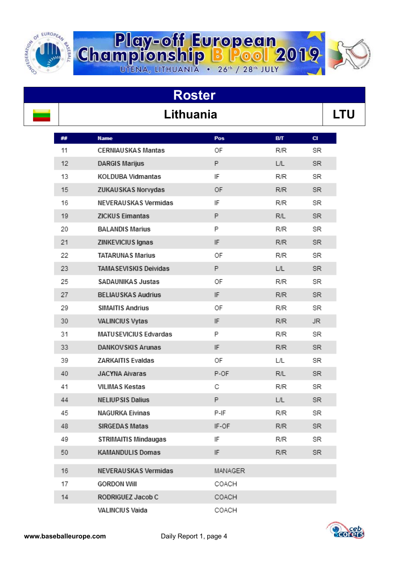

# Lithuania **Lithuania LTU**

**Roster** 

**Play-off European**<br>Championship B Pool 2019

| ## | <b>Name</b>                  | Pos                        | <b>B/T</b> | $CI$ |
|----|------------------------------|----------------------------|------------|------|
| 11 | <b>CERNIAUSKAS Mantas</b>    | ΟF                         | <b>R/R</b> | SR   |
| 12 | <b>DARGIS Marijus</b>        | P                          | L/L        | SR.  |
| 13 | KOLDUBA Vidmantas            | IF                         | <b>R/R</b> | SR   |
| 15 | ZUKAUSKAS Norvydas           | OF                         | <b>R/R</b> | SR.  |
| 16 | NEVERAUSKAS Vermidas         | IF                         | <b>R/R</b> | SR   |
| 19 | <b>ZICKUS Eimantas</b>       | P                          | R/L        | SR.  |
| 20 | <b>BALANDIS Marius</b>       | P                          | R/R        | SR   |
| 21 | ZINKEVICIUS Ignas            | $\ensuremath{\mathsf{IF}}$ | <b>R/R</b> | SR.  |
| 22 | <b>TATARUNAS Marius</b>      | OF                         | R/R        | SR   |
| 23 | <b>TAMASEVISKIS Deividas</b> | P                          | L/L        | SR.  |
| 25 | SADAUNIKAS Justas            | OF                         | <b>R/R</b> | SR   |
| 27 | <b>BELIAUSKAS Audrius</b>    | IF                         | R/R        | SR.  |
| 29 | <b>SIMAITIS Andrius</b>      | OF                         | R/R        | SR   |
| 30 | VALINCIUS Vytas              | IF                         | <b>R/R</b> | JR.  |
| 31 | MATUSEVICIUS Edvardas        | P                          | R/R        | SR   |
| 33 | <b>DANKOVSKIS Arunas</b>     | IF                         | R/R        | SR.  |
| 39 | <b>ZARKAITIS Evaldas</b>     | OF                         | L/L        | SR   |
| 40 | <b>JACYNA Aivaras</b>        | P-OF                       | R/L        | SR   |
| 41 | VILIMAS Kestas               | С                          | R/R        | SR   |
| 44 | <b>NELIUPSIS Dalius</b>      | P                          | L/L        | SR.  |
| 45 | <b>NAGURKA Eivinas</b>       | P-IF                       | R/R        | SR   |
| 48 | <b>SIRGEDAS Matas</b>        | IF-OF                      | R/R        | SR.  |
| 49 | <b>STRIMAITIS Mindaugas</b>  | IF                         | <b>R/R</b> | SR   |
| 50 | <b>KAMANDULIS Domas</b>      | IF                         | R/R        | SR.  |
| 16 | NEVERAUSKAS Vermidas         | MANAGER                    |            |      |
| 17 | <b>GORDON Will</b>           | COACH                      |            |      |
| 14 | RODRIGUEZ Jacob C            | COACH                      |            |      |
|    | VALINCIUS Vaida              | COACH                      |            |      |

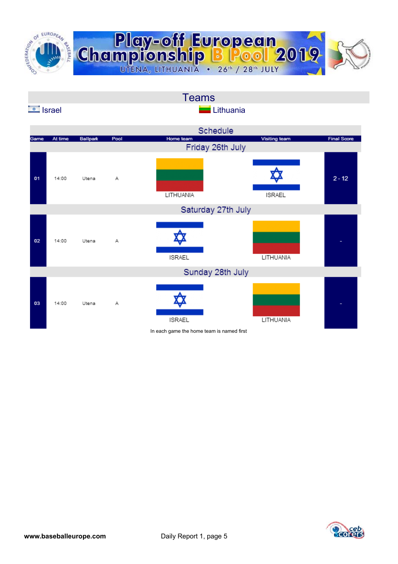

|                 |         |                 |      | <b>Teams</b>                              |               |                    |
|-----------------|---------|-----------------|------|-------------------------------------------|---------------|--------------------|
| <b>Exercise</b> |         |                 |      | Lithuania                                 |               |                    |
|                 |         |                 |      | Schedule                                  |               |                    |
| Game            | At time | <b>Ballpark</b> | Pool | Home team<br>Friday 26th July             | Visiting team | <b>Final Score</b> |
| 01              | 14:00   | Utena           | А    | LITHUANIA                                 | <b>ISRAEL</b> | $2 - 12$           |
|                 |         |                 |      | Saturday 27th July                        |               |                    |
| 02              | 14:00   | Utena           | А    | <b>ISRAEL</b>                             | LITHUANIA     |                    |
|                 |         |                 |      | Sunday 28th July                          |               |                    |
| 03              | 14:00   | Utena           | А    | <b>ISRAEL</b>                             | LITHUANIA     |                    |
|                 |         |                 |      | In each game the home team is named first |               |                    |

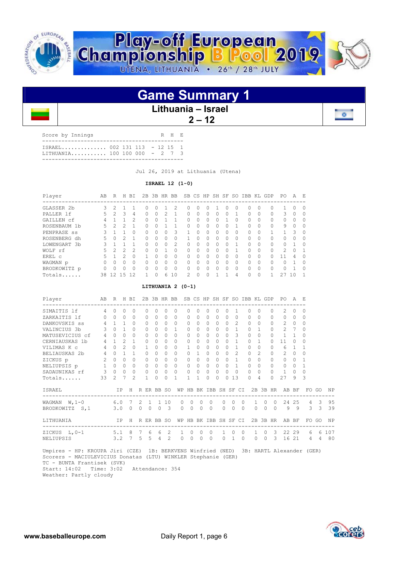

## **Game Summary 1**

#### **Lithuania – Israel**

 **2 – 12** 

| Score by Innings                                              |  |  | R H E |  |
|---------------------------------------------------------------|--|--|-------|--|
| ISRAEL 002 131 113 - 12 15 1<br>LITHUANIA 100 100 000 - 2 7 3 |  |  |       |  |
|                                                               |  |  |       |  |

Jul 26, 2019 at Lithuania (Utena)

 **ISRAEL 12 (1-0)** 

| Player       | AВ | R              | Η  | ВI       | 2B | 3B           | HR           | BB            |          |              | SB CS HP SH SF   |   |          | SO.          | IBB      | KL        | GDP                                                | PO.          | Α        | Ε |
|--------------|----|----------------|----|----------|----|--------------|--------------|---------------|----------|--------------|------------------|---|----------|--------------|----------|-----------|----------------------------------------------------|--------------|----------|---|
| GLASSER 2b   | 3  | $\mathcal{L}$  |    |          | O  | $\Omega$     |              | 2             | 0        | 0            | $\left( \right)$ |   | $^{(+)}$ | $\Omega$     | 0        |           | --------------------------------------<br>$\Omega$ | $\mathbb{R}$ | 0        |   |
| PALLER 1f    | 5. | 2              | 3  | 4        | 0  | $\Omega$     | 2            |               | 0        | 0            | $\Omega$         | 0 | 0        |              | 0        | $\bigcap$ | 0                                                  | 3            | $\Omega$ |   |
| GAILLEN cf   | 4  |                |    | 2        | 0  | $\Omega$     |              |               | 0        | 0            | $\bigcap$        | Λ |          | $\bigcap$    | 0        | $\Omega$  | $\Omega$                                           | 0            | 0        |   |
| ROSENBAUM 1b | 5. | $\mathfrak{D}$ |    |          | O  | $\Omega$     |              |               | O        | <sup>0</sup> | $\bigcap$        | O | O        |              | O.       | $\Omega$  | $\Omega$                                           | 9            | $\Omega$ |   |
| PENPRASE ss  |    |                |    | 0        | O. | $\Omega$     | $^{(1)}$     | 3             |          |              | $\bigcap$        | Ω | 0        | $\Omega$     | 0        |           |                                                    |              | 3        |   |
| ROSENBERG dh | 5. | 0              | 2  |          | O  | $\Omega$     | U            | O             |          |              | $\bigcap$        | O | O        | $\bigcap$    | O.       | $\Omega$  | $\bigcap$                                          | 0            | O        |   |
| LOWENGART 3b | २  |                |    |          | U  | $\bigcap$    | <sup>n</sup> | $\mathcal{L}$ | $\Omega$ | <sup>0</sup> | $\bigcap$        | U | 0        |              | O.       | $\bigcap$ | $\bigcap$                                          | <sup>n</sup> |          |   |
| WOLF rf      | 5. | $\mathcal{L}$  | 2  | 2        | O  | <sup>0</sup> |              | 0             | 0        |              | $\bigcap$        |   | 0        |              | 0        | $\Omega$  | $\Omega$                                           | 2.           | $\Omega$ |   |
| EREL C       | 5  |                |    | $\Omega$ |    | $\Omega$     | U            | 0             | Λ        |              | $\cap$           | U | O        | $\Omega$     | $\Omega$ | $\bigcap$ | $\cap$                                             | 11           | 4        |   |
| WAGMAN p     | O. | <sup>n</sup>   | U  | $\Omega$ | 0  | $\bigcap$    | <sup>n</sup> | $\Omega$      | O        | U            | $\bigcap$        | U | 0        | $\bigcap$    | O.       | $\bigcap$ | $\bigcap$                                          | n.           |          |   |
| BRODKOWITZ p | 0  | U              | ∩  | 0        | U  | $\Omega$     | U            | 0             | Ω        |              | $\bigcap$        | Λ | O        | <sup>0</sup> | O.       | $\cap$    | $\Omega$                                           | n.           |          |   |
| Totals       | 38 | 12             | 15 | 12       |    | 0            | 6            | 10            | 2        | $\Omega$     | $\Omega$         |   |          | 4            | 0        |           |                                                    | 27           | 10       |   |

 **LITHUANIA 2 (0-1)** 

| Player<br>--------------------------------- | AB             | R             | H              | BI             | 2B       |              | 3B HR BB   |                    |          |                      |                      | SB CS HP SH SF        |           |               |                |                      | SO IBB KL GDP |                      |          | PO.            | A           | E.              |               |             |
|---------------------------------------------|----------------|---------------|----------------|----------------|----------|--------------|------------|--------------------|----------|----------------------|----------------------|-----------------------|-----------|---------------|----------------|----------------------|---------------|----------------------|----------|----------------|-------------|-----------------|---------------|-------------|
| SIMAITIS 1f                                 | $\overline{4}$ | $\Omega$      | $\bigcap$      | $\Omega$       |          | $\Omega$     | $\bigcap$  | 0                  | $\Omega$ | $\bigcap$            | <sup>0</sup>         | $\bigcap$             |           | $\Omega$      |                |                      |               | $\Omega$             | $\Omega$ | $\mathcal{L}$  | 0           | $\Box$          |               |             |
| ZARKAITIS 1f                                |                | $\Omega$      | $\Omega$       | $\Omega$       |          | $\Omega$     | $\Omega$   | $\Omega$           | $\Omega$ | $\Omega$             | $\Omega$             | $\Omega$              | $\Omega$  | $\Omega$      | $\Omega$       |                      | $\Omega$      | $\Omega$             | $\Omega$ | $\Omega$       | $\Omega$    | $\Omega$        |               |             |
| DANKOVSKIS ss                               | $\overline{4}$ |               |                | $\Omega$       |          | $\Omega$     | $\Omega$   | $\Omega$           | $\Omega$ | $\Omega$             | $\Omega$             | $\Omega$              | $\Omega$  | $\Omega$      | $\mathfrak{D}$ |                      | $\Omega$      | $\Omega$             | 0        | $\overline{c}$ | $\Omega$    | $\Omega$        |               |             |
| VALINCIUS 3b                                | 3              | $\Omega$      |                | $\Omega$       |          | $\Omega$     | $\Omega$   | $\Omega$           | 1        | $\Omega$             | $\Omega$             | $\Omega$              | $\Omega$  | $\Omega$      | 1              |                      | $\Omega$      |                      | $\Omega$ | $\overline{2}$ | 7           | $\bigcap$       |               |             |
| MATUSEVICIUS cf                             | 4              | $\Omega$      | $\cap$         | $\Omega$       |          | $\Omega$     | $\Omega$   | $\Omega$           | $\Omega$ | $\Omega$             | $\Omega$             | $\bigcap$             | $\Omega$  | $\Omega$      | $\mathcal{L}$  |                      | $\Omega$      | $\Omega$             | $\Omega$ |                |             | $\Omega$        |               |             |
| CERNIAUSKAS 1b                              | 4              |               | $\mathcal{P}$  | 1              |          | $\Omega$     | $\cap$     | $\Omega$           | $\cap$   | $\cap$               | $\Omega$             | $\bigcap$             | $\Omega$  | $\Omega$      | 1              |                      | $\Omega$      |                      | $\cap$   | 11             | U           | ∩               |               |             |
| VILIMAS K C                                 | 4              | $\Omega$      | $\mathfrak{D}$ | $\Omega$       |          |              | $\Omega$   | $\Omega$           | $\Omega$ |                      | $\Omega$             | $\bigcap$             | $\Omega$  | $\Omega$      | 1              |                      | $\Omega$      | $\Omega$             | $\cap$   | 6              |             |                 |               |             |
| BELIAUSKAS 2b                               | $\overline{4}$ | $\Omega$      |                | 1              |          | $\Omega$     | $\cap$     | 0                  | $\Omega$ | $\cap$               | 1                    | $\bigcap$             | $\Omega$  | $\Omega$      | $\mathcal{L}$  |                      | $\Omega$      | $\mathfrak{D}$       | $\Omega$ | $\mathfrak{D}$ | $\Omega$    | U               |               |             |
| ZICKUS p                                    | 2              | $\Omega$      | $\cap$         | $\Omega$       |          | $\Omega$     | $\Omega$   | 0                  | $\Omega$ | $\Omega$             | $\Omega$             | $\bigcap$             | $\bigcap$ | $\Omega$      | 1              |                      | $\Omega$      | $\Omega$             | $\cap$   | $\Omega$       | $\Omega$    |                 |               |             |
| NELIUPSIS p                                 | $\mathbf{1}$   | $\Omega$      | $\Omega$       | $\Omega$       |          | $\Omega$     | $\Omega$   | 0                  | $\Omega$ | $\Omega$             | $\Omega$             | $\bigcap$             | $\bigcap$ | $\Omega$      | $\mathbf{1}$   |                      | $\Omega$      | $\Omega$             | $\Omega$ | $\Omega$       | 0           |                 |               |             |
| SADAUNIKAS rf                               | 3              | $\Omega$      | $\Omega$       | $\Omega$       |          | $\Omega$     | $\Omega$   | 0                  | $\Omega$ | $\Omega$             | $\Omega$             | $\bigcap$             | $\bigcap$ | $\Omega$      | $\Omega$       |                      | $\Omega$      | $\Omega$             | $\cap$   | 1              | 0           | <sup>0</sup>    |               |             |
| Totals                                      | 33             | $\mathcal{L}$ | 7              | $\mathfrak{D}$ |          | 1.           | $\bigcap$  | 0                  | 1        | $\overline{1}$       | 1.                   | $\cap$                | $\cap$    | $\Omega$      | 13             |                      | $\Omega$      | 4                    | $\cap$   | 27             | 9           | 3               |               |             |
| ISRAEL<br>-----------------                 |                |               | ΙP             | H              |          |              | R ER BB SO |                    |          |                      |                      | WP HB BK IBB SH SF CI |           |               |                |                      |               |                      | 2B 3B HR |                | AB BF       |                 | FO GO         | ΝP          |
| WAGMAN $W, 1-0$                             |                |               | 6.07           |                | -2       | $\mathbf{1}$ |            | 1 10               | $\Omega$ | $\Omega$             | $\Omega$             | $\Omega$              |           | $\Omega$      | $\Omega$       | $\Omega$             | $\mathbf{1}$  | $\Omega$             | $\Omega$ |                | 24 25       | $\overline{4}$  | 3             | 95          |
| BRODKOWITZ S, 1                             |                | 3.0           |                | $\Omega$       | $\Omega$ | $\Omega$     | $\Omega$   | $\mathbf{3}$       | 0        | $\Omega$             | $\Omega$             | $\Omega$              |           | $\Omega$      | $\Omega$       | $\Omega$             | $\Omega$      | $\Omega$             | $\Omega$ | 9              | 9           | 3               | $\mathcal{E}$ | 39          |
| <b>LITHUANIA</b>                            |                |               | IP             | H              |          |              | R ER BB SO |                    | WP       | HB                   |                      | BK IBB SH SF CI       |           |               |                |                      |               |                      | 2B 3B HR |                | AB BF       | FO.<br>-------- | GO            | <b>NP</b>   |
| ZICKUS L, 0-1<br>NELIUPSIS                  |                | 3.2           | $5.1 \quad 8$  |                | 5.       | 6<br>5.      | 6<br>4     | $\mathcal{L}$<br>2 | 1.<br>0  | $\Omega$<br>$\Omega$ | $\Omega$<br>$\Omega$ | $\Omega$<br>$\Omega$  |           | 1<br>$\Omega$ | $\Omega$       | $\Omega$<br>$\Omega$ | $\Omega$      | $\Omega$<br>$\Omega$ | 3<br>3   | 16             | 22 29<br>21 | 6<br>4          | 4             | 6 107<br>80 |

 Umpires - HP: KROUPA Jiri (CZE) 1B: BERKVENS Winfried (NED) 3B: HARTL Alexander (GER) Scorers - MACIULEVICIUS Donatas (LTU) WINKLER Stephanie (GER) TC - BUNTA Frantisek (SVK) Start: 14:02 Time: 3:02 Attendance: 354

Weather: Partly cloudy



 $\sim$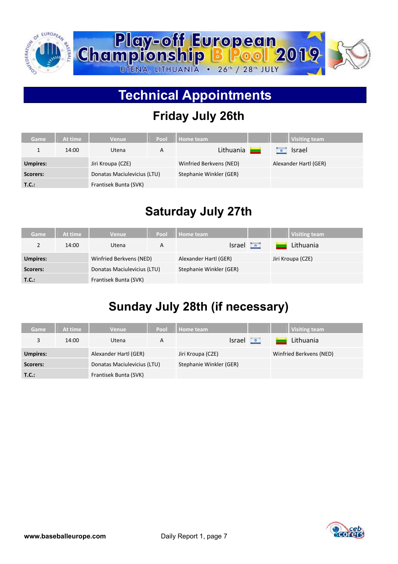

# **Technical Appointments**

# **Friday July 26th**

| Game            | At time | Venue                       | Pool | Home team               |  | Visiting team         |  |
|-----------------|---------|-----------------------------|------|-------------------------|--|-----------------------|--|
|                 | 14:00   | Utena                       | A    | Lithuania               |  | <b>Israel</b>         |  |
| <b>Umpires:</b> |         | Jiri Kroupa (CZE)           |      | Winfried Berkvens (NED) |  | Alexander Hartl (GER) |  |
| Scorers:        |         | Donatas Maciulevicius (LTU) |      | Stephanie Winkler (GER) |  |                       |  |
| T.C.:           |         | Frantisek Bunta (SVK)       |      |                         |  |                       |  |

#### **Saturday July 27th**

| Game            | At time | <b>Venue</b>                | Pool | Home team               |  | <b>Visiting team</b> |  |
|-----------------|---------|-----------------------------|------|-------------------------|--|----------------------|--|
| $\overline{2}$  | 14:00   | Utena                       | A    | $Israel$ $\Box$         |  | Lithuania            |  |
| <b>Umpires:</b> |         | Winfried Berkvens (NED)     |      | Alexander Hartl (GER)   |  | Jiri Kroupa (CZE)    |  |
| Scorers:        |         | Donatas Maciulevicius (LTU) |      | Stephanie Winkler (GER) |  |                      |  |
| T.C.:           |         | Frantisek Bunta (SVK)       |      |                         |  |                      |  |

## **Sunday July 28th (if necessary)**

| Game            | At time | Venue                       | Pool | <b>Home team</b>        |  | <b>Visiting team</b>    |
|-----------------|---------|-----------------------------|------|-------------------------|--|-------------------------|
| 3               | 14:00   | Utena                       | A    | $Israel$ $\Box$         |  | Lithuania               |
| <b>Umpires:</b> |         | Alexander Hartl (GER)       |      | Jiri Kroupa (CZE)       |  | Winfried Berkvens (NED) |
| Scorers:        |         | Donatas Maciulevicius (LTU) |      | Stephanie Winkler (GER) |  |                         |
| T.C.:           |         | Frantisek Bunta (SVK)       |      |                         |  |                         |